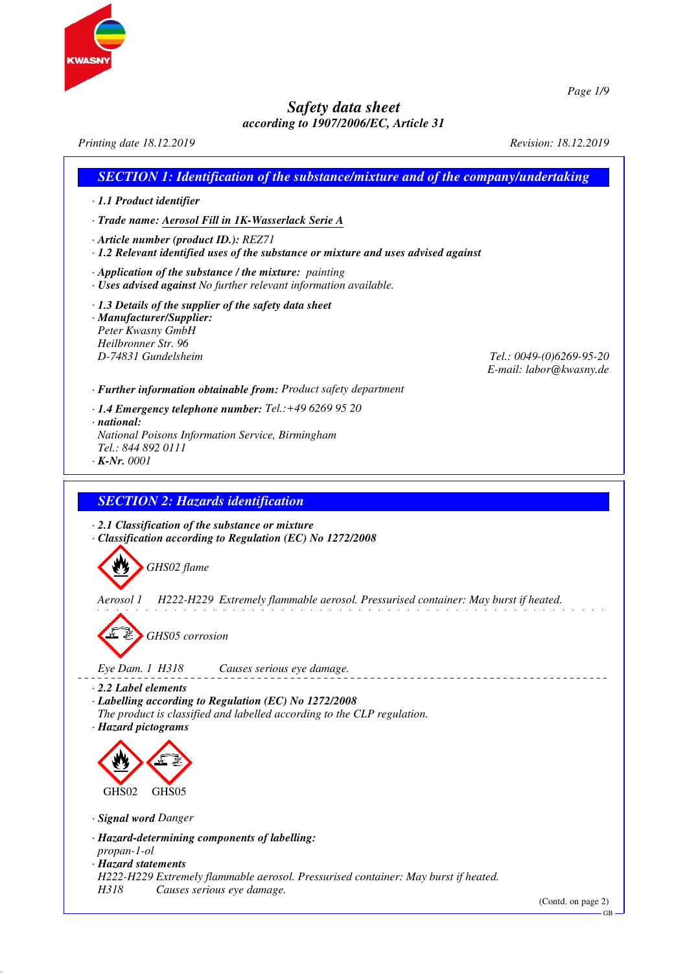

*Printing date 18.12.2019 Revision: 18.12.2019 SECTION 1: Identification of the substance/mixture and of the company/undertaking · 1.1 Product identifier · Trade name: Aerosol Fill in 1K-Wasserlack Serie A · Article number (product ID.): REZ71 · 1.2 Relevant identified uses of the substance or mixture and uses advised against · Application of the substance / the mixture: painting · Uses advised against No further relevant information available. · 1.3 Details of the supplier of the safety data sheet · Manufacturer/Supplier: Peter Kwasny GmbH Heilbronner Str. 96 D-74831 Gundelsheim Tel.: 0049-(0)6269-95-20 E-mail: labor@kwasny.de · Further information obtainable from: Product safety department · 1.4 Emergency telephone number: Tel.:+49 6269 95 20 · national: National Poisons Information Service, Birmingham Tel.: 844 892 0111 · K-Nr. 0001 SECTION 2: Hazards identification · 2.1 Classification of the substance or mixture · Classification according to Regulation (EC) No 1272/2008 GHS02 flame Aerosol 1 H222-H229 Extremely flammable aerosol. Pressurised container: May burst if heated. GHS05 corrosion Eye Dam. 1 H318 Causes serious eye damage. · 2.2 Label elements · Labelling according to Regulation (EC) No 1272/2008 The product is classified and labelled according to the CLP regulation. · Hazard pictograms* GHS02 GHS05 *· Signal word Danger · Hazard-determining components of labelling: propan-1-ol · Hazard statements H222-H229 Extremely flammable aerosol. Pressurised container: May burst if heated. Causes serious eye damage.* (Contd. on page 2)

*Page 1/9*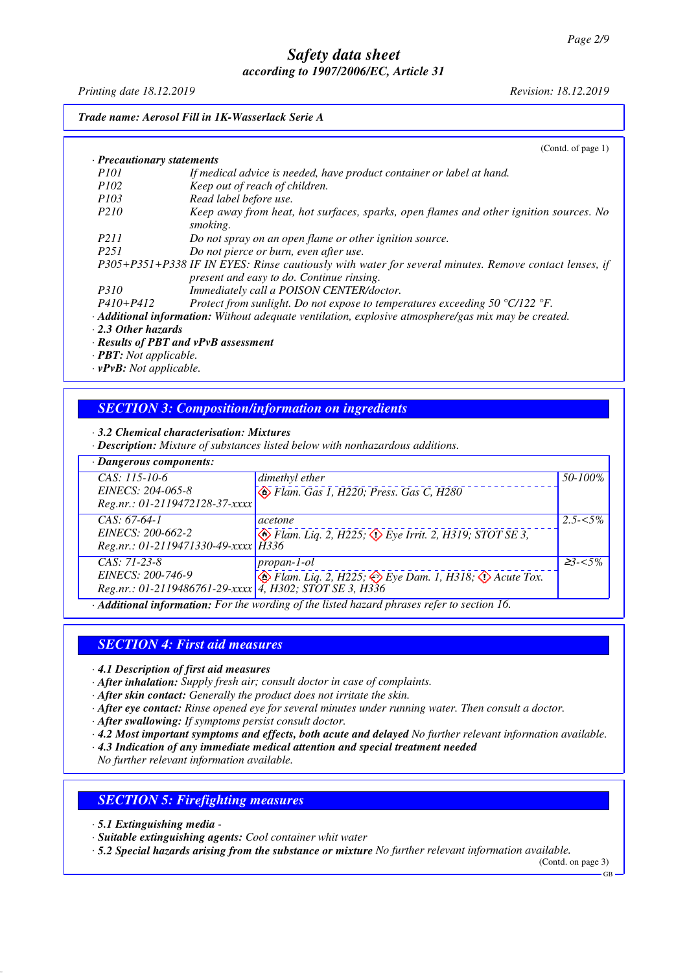*Printing date 18.12.2019 Revision: 18.12.2019*

*Trade name: Aerosol Fill in 1K-Wasserlack Serie A*

|                                     | (Contd. of page 1)                                                                                                                                 |
|-------------------------------------|----------------------------------------------------------------------------------------------------------------------------------------------------|
| $\cdot$ Precautionary statements    |                                                                                                                                                    |
| <i>P101</i>                         | If medical advice is needed, have product container or label at hand.                                                                              |
| <i>P102</i>                         | Keep out of reach of children.                                                                                                                     |
| <i>P103</i>                         | Read label before use.                                                                                                                             |
| P <sub>210</sub>                    | Keep away from heat, hot surfaces, sparks, open flames and other ignition sources. No<br>smoking.                                                  |
| <i>P211</i>                         | Do not spray on an open flame or other ignition source.                                                                                            |
| P251                                | Do not pierce or burn, even after use.                                                                                                             |
|                                     | P305+P351+P338 IF IN EYES: Rinse cautiously with water for several minutes. Remove contact lenses, if<br>present and easy to do. Continue rinsing. |
| <i>P310</i>                         | Immediately call a POISON CENTER/doctor.                                                                                                           |
| $P410 + P412$                       | Protect from sunlight. Do not expose to temperatures exceeding 50 $^{\circ}$ C/122 $^{\circ}$ F.                                                   |
|                                     | $\cdot$ <b>Additional information:</b> Without adequate ventilation, explosive atmosphere/gas mix may be created.                                  |
| $\cdot$ 2.3 Other hazards           |                                                                                                                                                    |
|                                     | · Results of PBT and vPvB assessment                                                                                                               |
| $\cdot$ <b>PBT:</b> Not applicable. |                                                                                                                                                    |
| $\cdot$ vPvB: Not applicable.       |                                                                                                                                                    |
|                                     |                                                                                                                                                    |

*· 3.2 Chemical characterisation: Mixtures · Description: Mixture of substances listed below with nonhazardous additions.*

*SECTION 3: Composition/information on ingredients*

| · Dangerous components:                                                                          |                                                                                                             |             |
|--------------------------------------------------------------------------------------------------|-------------------------------------------------------------------------------------------------------------|-------------|
| CAS: 115-10-6<br>EINECS: 204-065-8<br>Reg.nr.: 01-2119472128-37-xxxx                             | dimethyl ether<br>Flam. Gas 1, H220; Press. Gas C, H280                                                     | 50-100%     |
| $CAS: 67-64-1$<br>EINECS: 200-662-2<br>Reg.nr.: 01-2119471330-49-xxxx H336                       | acetone<br>$\circledcirc$ Flam. Liq. 2, H225, $\circledcirc$ Eye Irrit. 2, H319; STOT SE 3,                 | $2.5 - 5\%$ |
| $CAS: 71-23-8$<br>EINECS: 200-746-9<br>Reg.nr.: 01-2119486761-29-xxxx   4, H302; STOT SE 3, H336 | $propan-1-ol$<br>$\circledast$ Flam. Liq. 2, H225; $\circledast$ Eye Dam. 1, H318; $\circledast$ Acute Tox. | $23 - 5\%$  |
|                                                                                                  | · Additional information: For the wording of the listed hazard phrases refer to section 16.                 |             |

## *SECTION 4: First aid measures*

*· 4.1 Description of first aid measures*

*· After inhalation: Supply fresh air; consult doctor in case of complaints.*

*· After skin contact: Generally the product does not irritate the skin.*

*· After eye contact: Rinse opened eye for several minutes under running water. Then consult a doctor.*

*· After swallowing: If symptoms persist consult doctor.*

*· 4.2 Most important symptoms and effects, both acute and delayed No further relevant information available.*

*· 4.3 Indication of any immediate medical attention and special treatment needed*

*No further relevant information available.*

#### *SECTION 5: Firefighting measures*

*· 5.1 Extinguishing media -* 

*· Suitable extinguishing agents: Cool container whit water*

*· 5.2 Special hazards arising from the substance or mixture No further relevant information available.*

(Contd. on page 3)

GB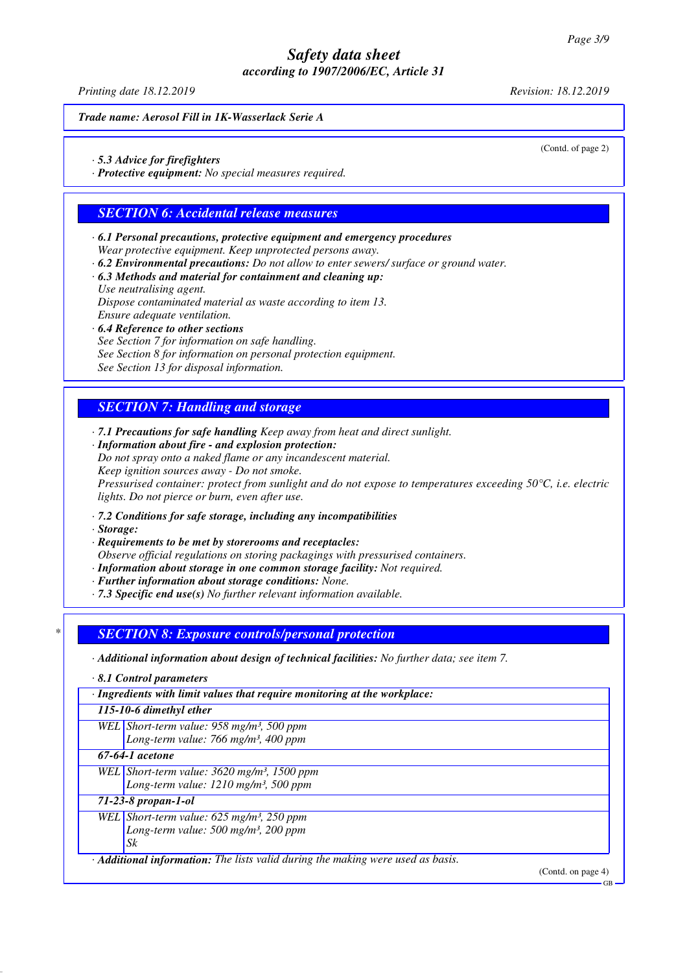*Printing date 18.12.2019 Revision: 18.12.2019*

*Trade name: Aerosol Fill in 1K-Wasserlack Serie A*

(Contd. of page 2)

- *· 5.3 Advice for firefighters*
- *· Protective equipment: No special measures required.*

## *SECTION 6: Accidental release measures*

- *· 6.1 Personal precautions, protective equipment and emergency procedures Wear protective equipment. Keep unprotected persons away. · 6.2 Environmental precautions: Do not allow to enter sewers/ surface or ground water.*
- 
- *· 6.3 Methods and material for containment and cleaning up: Use neutralising agent. Dispose contaminated material as waste according to item 13. Ensure adequate ventilation.*
- *· 6.4 Reference to other sections See Section 7 for information on safe handling. See Section 8 for information on personal protection equipment. See Section 13 for disposal information.*

# *SECTION 7: Handling and storage*

- *· 7.1 Precautions for safe handling Keep away from heat and direct sunlight.*
- *· Information about fire and explosion protection: Do not spray onto a naked flame or any incandescent material. Keep ignition sources away - Do not smoke. Pressurised container: protect from sunlight and do not expose to temperatures exceeding 50°C, i.e. electric lights. Do not pierce or burn, even after use.*
- *· 7.2 Conditions for safe storage, including any incompatibilities*
- *· Storage:*
- *· Requirements to be met by storerooms and receptacles:*

*Observe official regulations on storing packagings with pressurised containers.*

- *· Information about storage in one common storage facility: Not required.*
- *· Further information about storage conditions: None.*
- *· 7.3 Specific end use(s) No further relevant information available.*

#### *\* SECTION 8: Exposure controls/personal protection*

- *· Additional information about design of technical facilities: No further data; see item 7.*
- *· 8.1 Control parameters*

*· Ingredients with limit values that require monitoring at the workplace:*

*115-10-6 dimethyl ether*

*WEL Short-term value: 958 mg/m³, 500 ppm Long-term value: 766 mg/m³, 400 ppm*

*67-64-1 acetone*

*WEL Short-term value: 3620 mg/m³, 1500 ppm Long-term value: 1210 mg/m³, 500 ppm*

*71-23-8 propan-1-ol*

*WEL Short-term value: 625 mg/m³, 250 ppm Long-term value: 500 mg/m³, 200 ppm Sk*

# *· Additional information: The lists valid during the making were used as basis.*

(Contd. on page 4)

GB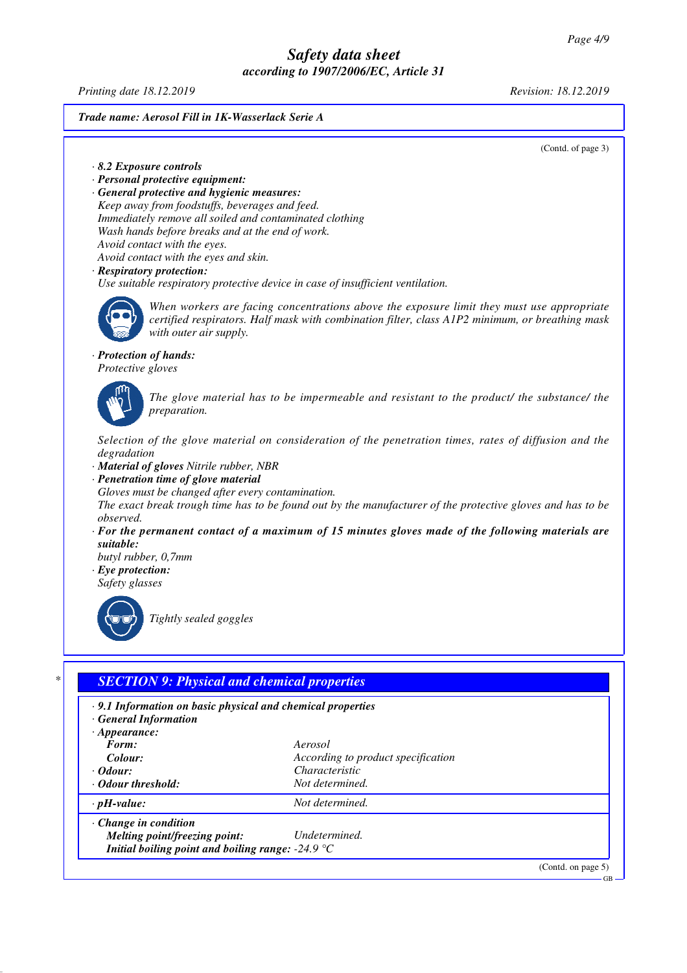*Printing date 18.12.2019 Revision: 18.12.2019*

#### *Trade name: Aerosol Fill in 1K-Wasserlack Serie A*

(Contd. of page 3)

- *· 8.2 Exposure controls*
- *· Personal protective equipment:*

*· General protective and hygienic measures: Keep away from foodstuffs, beverages and feed. Immediately remove all soiled and contaminated clothing Wash hands before breaks and at the end of work. Avoid contact with the eyes. Avoid contact with the eyes and skin.*

*· Respiratory protection:*

*Use suitable respiratory protective device in case of insufficient ventilation.*



*When workers are facing concentrations above the exposure limit they must use appropriate certified respirators. Half mask with combination filter, class A1P2 minimum, or breathing mask with outer air supply.*

#### *· Protection of hands:*

*Protective gloves*

*The glove material has to be impermeable and resistant to the product/ the substance/ the preparation.*

*Selection of the glove material on consideration of the penetration times, rates of diffusion and the degradation*

- *· Material of gloves Nitrile rubber, NBR*
- *· Penetration time of glove material*

*Gloves must be changed after every contamination.*

*The exact break trough time has to be found out by the manufacturer of the protective gloves and has to be observed.*

*· For the permanent contact of a maximum of 15 minutes gloves made of the following materials are suitable:*

*butyl rubber, 0,7mm · Eye protection:*

*Safety glasses*



*Tightly sealed goggles*

## *\* SECTION 9: Physical and chemical properties*

*· 9.1 Information on basic physical and chemical properties*

*· General Information*

| $\cdot$ Appearance: |  |
|---------------------|--|
|                     |  |

*Form: Aerosol*

**Colour: According to product specification**<br> **Change Change Change Changes**<br> **Changes** *· Odour: Characteristic · Odour threshold: Not determined.*

*· pH-value: Not determined. · Change in condition*

*Melting point/freezing point: Undetermined. Initial boiling point and boiling range: -24.9 °C*

(Contd. on page 5)

GB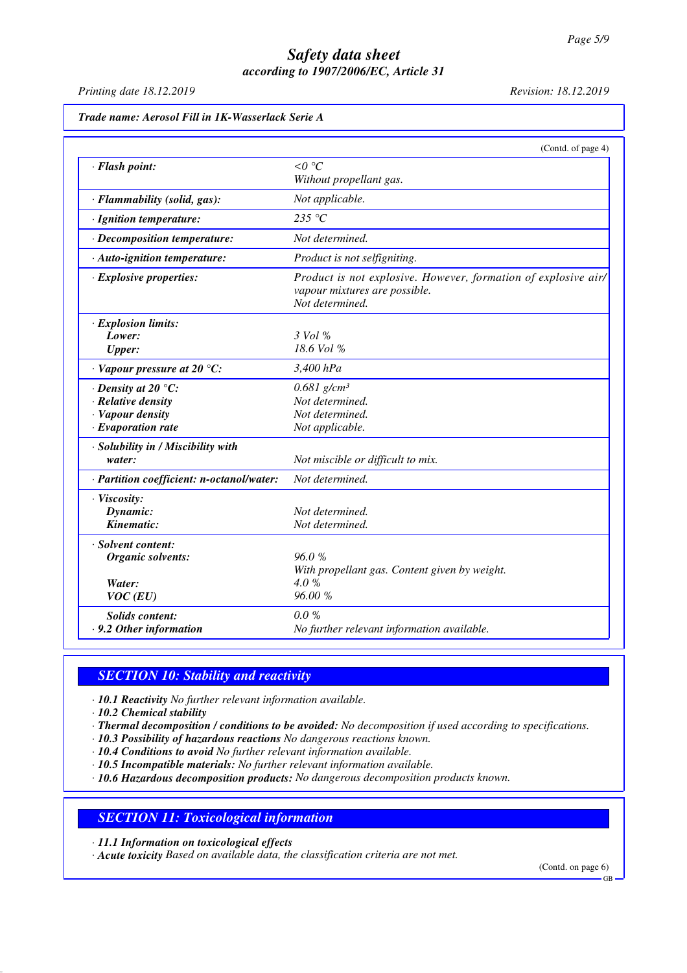*Printing date 18.12.2019 Revision: 18.12.2019*

|                                            | (Contd. of page 4)                                             |
|--------------------------------------------|----------------------------------------------------------------|
| · Flash point:                             | $\leq 0$ °C                                                    |
|                                            | Without propellant gas.                                        |
| · Flammability (solid, gas):               | Not applicable.                                                |
| · Ignition temperature:                    | 235 $\degree$ C                                                |
| · Decomposition temperature:               | Not determined.                                                |
| · Auto-ignition temperature:               | Product is not selfigniting.                                   |
| · Explosive properties:                    | Product is not explosive. However, formation of explosive air/ |
|                                            | vapour mixtures are possible.<br>Not determined.               |
| · Explosion limits:                        |                                                                |
| Lower:                                     | 3 Vol %                                                        |
| <b>Upper:</b>                              | 18.6 Vol %                                                     |
| $\cdot$ Vapour pressure at 20 $\degree$ C: | 3,400 hPa                                                      |
| $\cdot$ Density at 20 $\degree$ C:         | $0.681$ g/cm <sup>3</sup>                                      |
| · Relative density                         | Not determined.                                                |
| · Vapour density                           | Not determined.                                                |
| $\cdot$ Evaporation rate                   | Not applicable.                                                |
| · Solubility in / Miscibility with         |                                                                |
| water:                                     | Not miscible or difficult to mix.                              |
| · Partition coefficient: n-octanol/water:  | Not determined.                                                |
| · Viscosity:                               |                                                                |
| Dynamic:                                   | Not determined.                                                |
| Kinematic:                                 | Not determined.                                                |
| · Solvent content:                         |                                                                |
| Organic solvents:                          | 96.0%                                                          |
|                                            | With propellant gas. Content given by weight.                  |
| Water:                                     | 4.0%                                                           |
| VOC(EU)                                    | 96.00 %                                                        |
| <b>Solids content:</b>                     | $0.0 \%$                                                       |
| $\cdot$ 9.2 Other information              | No further relevant information available.                     |

## *SECTION 10: Stability and reactivity*

*· 10.1 Reactivity No further relevant information available.*

*· 10.2 Chemical stability*

- *· Thermal decomposition / conditions to be avoided: No decomposition if used according to specifications.*
- *· 10.3 Possibility of hazardous reactions No dangerous reactions known.*
- *· 10.4 Conditions to avoid No further relevant information available.*
- *· 10.5 Incompatible materials: No further relevant information available.*
- *· 10.6 Hazardous decomposition products: No dangerous decomposition products known.*

## *SECTION 11: Toxicological information*

*· 11.1 Information on toxicological effects*

*· Acute toxicity Based on available data, the classification criteria are not met.*

(Contd. on page 6)

GB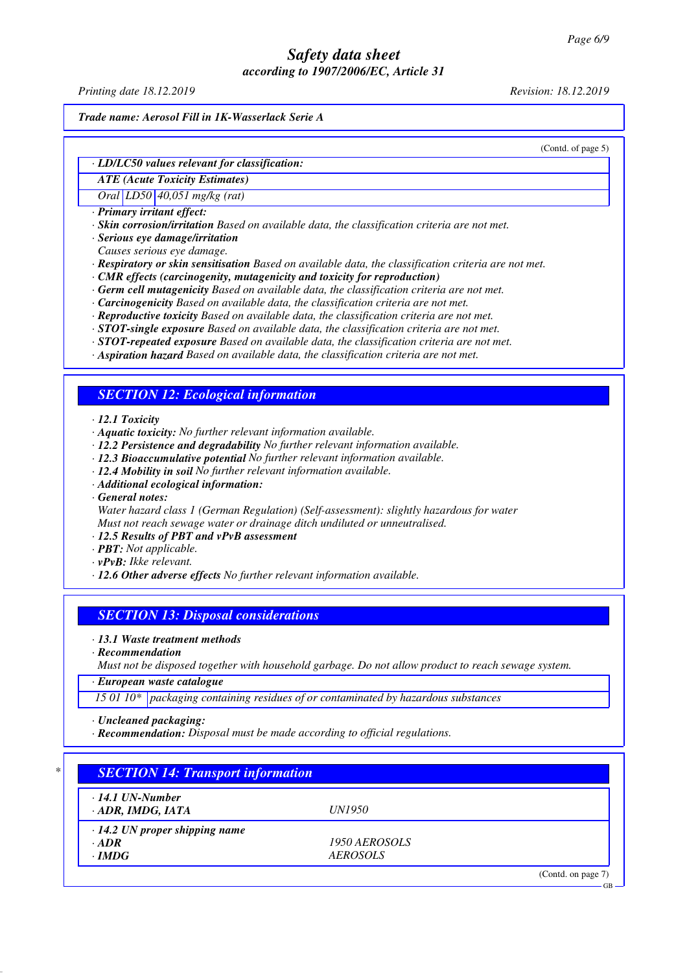*Printing date 18.12.2019 Revision: 18.12.2019*

*Trade name: Aerosol Fill in 1K-Wasserlack Serie A*

(Contd. of page 5)

#### *· LD/LC50 values relevant for classification:*

*ATE (Acute Toxicity Estimates)*

*Oral LD50 40,051 mg/kg (rat)*

*· Primary irritant effect:*

*· Skin corrosion/irritation Based on available data, the classification criteria are not met.*

*· Serious eye damage/irritation*

*Causes serious eye damage.*

*· Respiratory or skin sensitisation Based on available data, the classification criteria are not met.*

- *· CMR effects (carcinogenity, mutagenicity and toxicity for reproduction)*
- *· Germ cell mutagenicity Based on available data, the classification criteria are not met.*
- *· Carcinogenicity Based on available data, the classification criteria are not met.*
- *· Reproductive toxicity Based on available data, the classification criteria are not met.*
- *· STOT-single exposure Based on available data, the classification criteria are not met.*
- *· STOT-repeated exposure Based on available data, the classification criteria are not met.*
- *· Aspiration hazard Based on available data, the classification criteria are not met.*

#### *SECTION 12: Ecological information*

*· 12.1 Toxicity*

- *· Aquatic toxicity: No further relevant information available.*
- *· 12.2 Persistence and degradability No further relevant information available.*
- *· 12.3 Bioaccumulative potential No further relevant information available.*
- *· 12.4 Mobility in soil No further relevant information available.*
- *· Additional ecological information:*

*· General notes:*

*Water hazard class 1 (German Regulation) (Self-assessment): slightly hazardous for water Must not reach sewage water or drainage ditch undiluted or unneutralised.*

- *· 12.5 Results of PBT and vPvB assessment*
- *· PBT: Not applicable.*
- *· vPvB: Ikke relevant.*
- *· 12.6 Other adverse effects No further relevant information available.*

#### *SECTION 13: Disposal considerations*

*· 13.1 Waste treatment methods*

*· Recommendation*

*Must not be disposed together with household garbage. Do not allow product to reach sewage system.*

*· European waste catalogue*

*15 01 10\* packaging containing residues of or contaminated by hazardous substances*

*· Uncleaned packaging:*

*· Recommendation: Disposal must be made according to official regulations.*

| $\cdot$ 14.1 UN-Number               |                 |  |
|--------------------------------------|-----------------|--|
| · ADR, IMDG, IATA                    | <i>UN1950</i>   |  |
| $\cdot$ 14.2 UN proper shipping name |                 |  |
| $\cdot$ ADR                          | 1950 AEROSOLS   |  |
| $\cdot$ IMDG                         | <b>AEROSOLS</b> |  |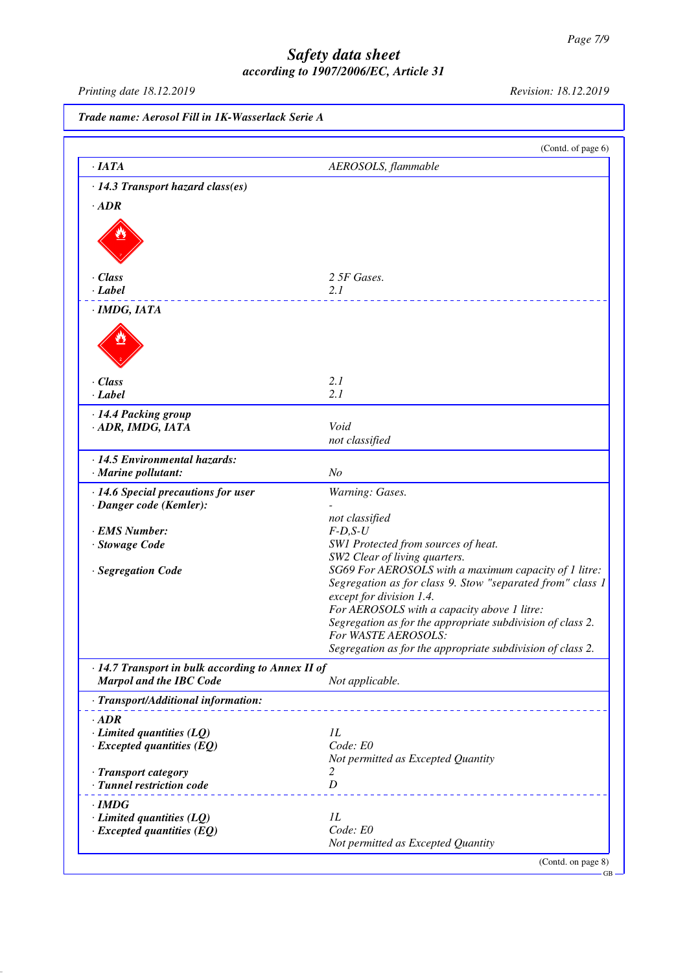GB

## *Safety data sheet according to 1907/2006/EC, Article 31*

*Printing date 18.12.2019 Revision: 18.12.2019*

*Trade name: Aerosol Fill in 1K-Wasserlack Serie A* (Contd. of page 6) *· IATA AEROSOLS, flammable · 14.3 Transport hazard class(es) · ADR · Class 2 5F Gases. · Label 2.1 · IMDG, IATA · Class 2.1 · Label 2.1 · 14.4 Packing group · ADR, IMDG, IATA Void not classified · 14.5 Environmental hazards: · Marine pollutant: No · 14.6 Special precautions for user Warning: Gases. · Danger code (Kemler): not classified · EMS Number: F-D,S-U · Stowage Code SW1 Protected from sources of heat. SW2 Clear of living quarters. · Segregation Code SG69 For AEROSOLS with a maximum capacity of 1 litre: Segregation as for class 9. Stow "separated from" class 1 except for division 1.4. For AEROSOLS with a capacity above 1 litre: Segregation as for the appropriate subdivision of class 2. For WASTE AEROSOLS: Segregation as for the appropriate subdivision of class 2. · 14.7 Transport in bulk according to Annex II of Marpol and the IBC Code Not applicable. · Transport/Additional information: · ADR <i>·* **Limited quantities (LQ)** *1L*<br>*· Excepted quantities (EO) Code: EO <i>· Excepted quantities (EQ) Not permitted as Excepted Quantity · Transport category 2 · Tunnel restriction code D · IMDG <i>·* **Limited quantities (LQ)** *1L*<br>*· Excepted quantities (EO) Code: E0 <i>· Excepted quantities (EQ) Not permitted as Excepted Quantity* (Contd. on page 8)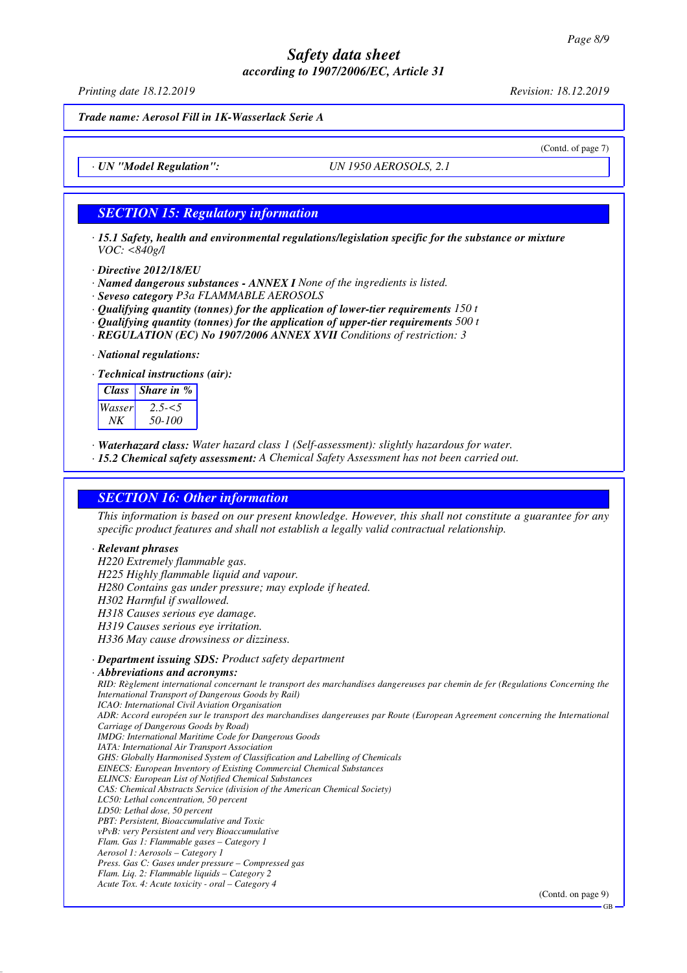*Printing date 18.12.2019 Revision: 18.12.2019*

(Contd. of page 7)

*Trade name: Aerosol Fill in 1K-Wasserlack Serie A*

*· UN "Model Regulation": UN 1950 AEROSOLS, 2.1*

# *SECTION 15: Regulatory information*

*· 15.1 Safety, health and environmental regulations/legislation specific for the substance or mixture VOC: <840g/l*

- *· Directive 2012/18/EU*
- *· Named dangerous substances ANNEX I None of the ingredients is listed.*
- *· Seveso category P3a FLAMMABLE AEROSOLS*
- *· Qualifying quantity (tonnes) for the application of lower-tier requirements 150 t*
- *· Qualifying quantity (tonnes) for the application of upper-tier requirements 500 t*
- *· REGULATION (EC) No 1907/2006 ANNEX XVII Conditions of restriction: 3*

*· National regulations:*

*· Technical instructions (air):*

| フラーくう<br>50-100 |
|-----------------|
|                 |

*· Waterhazard class: Water hazard class 1 (Self-assessment): slightly hazardous for water.*

*· 15.2 Chemical safety assessment: A Chemical Safety Assessment has not been carried out.*

#### *SECTION 16: Other information*

*This information is based on our present knowledge. However, this shall not constitute a guarantee for any specific product features and shall not establish a legally valid contractual relationship.*

#### *· Relevant phrases*

*H220 Extremely flammable gas. H225 Highly flammable liquid and vapour. H280 Contains gas under pressure; may explode if heated. H302 Harmful if swallowed. H318 Causes serious eye damage. H319 Causes serious eye irritation. H336 May cause drowsiness or dizziness. · Department issuing SDS: Product safety department · Abbreviations and acronyms: RID: Règlement international concernant le transport des marchandises dangereuses par chemin de fer (Regulations Concerning the International Transport of Dangerous Goods by Rail) ICAO: International Civil Aviation Organisation ADR: Accord européen sur le transport des marchandises dangereuses par Route (European Agreement concerning the International Carriage of Dangerous Goods by Road) IMDG: International Maritime Code for Dangerous Goods IATA: International Air Transport Association GHS: Globally Harmonised System of Classification and Labelling of Chemicals EINECS: European Inventory of Existing Commercial Chemical Substances ELINCS: European List of Notified Chemical Substances CAS: Chemical Abstracts Service (division of the American Chemical Society) LC50: Lethal concentration, 50 percent LD50: Lethal dose, 50 percent PBT: Persistent, Bioaccumulative and Toxic vPvB: very Persistent and very Bioaccumulative Flam. Gas 1: Flammable gases – Category 1 Aerosol 1: Aerosols – Category 1 Press. Gas C: Gases under pressure – Compressed gas*

*Flam. Liq. 2: Flammable liquids – Category 2 Acute Tox. 4: Acute toxicity - oral – Category 4*

(Contd. on page 9)

GB